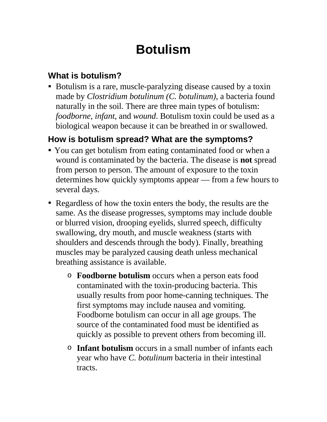# **Botulism**

### **What is botulism?**

 Botulism is a rare, muscle-paralyzing disease caused by a toxin made by *Clostridium botulinum (C. botulinum)*, a bacteria found naturally in the soil. There are three main types of botulism: *foodborne, infant,* and *wound*. Botulism toxin could be used as a biological weapon because it can be breathed in or swallowed.

## **How is botulism spread? What are the symptoms?**

- You can get botulism from eating contaminated food or when a wound is contaminated by the bacteria. The disease is **not** spread from person to person. The amount of exposure to the toxin determines how quickly symptoms appear — from a few hours to several days.
- Regardless of how the toxin enters the body, the results are the same. As the disease progresses, symptoms may include double or blurred vision, drooping eyelids, slurred speech, difficulty swallowing, dry mouth, and muscle weakness (starts with shoulders and descends through the body). Finally, breathing muscles may be paralyzed causing death unless mechanical breathing assistance is available.
	- o **Foodborne botulism** occurs when a person eats food contaminated with the toxin-producing bacteria. This usually results from poor home-canning techniques. The first symptoms may include nausea and vomiting. Foodborne botulism can occur in all age groups. The source of the contaminated food must be identified as quickly as possible to prevent others from becoming ill.
	- o **Infant botulism** occurs in a small number of infants each year who have *C. botulinum* bacteria in their intestinal tracts.